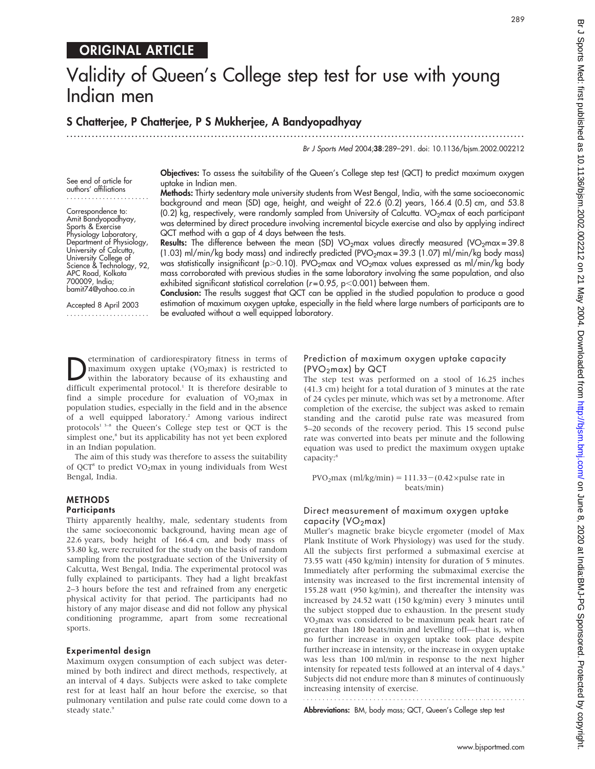# ORIGINAL ARTICLE

# Validity of Queen's College step test for use with young Indian men

# S Chatterjee, P Chatterjee, P S Mukherjee, A Bandyopadhyay

...............................................................................................................................

Br J Sports Med 2004;38:289–291. doi: 10.1136/bjsm.2002.002212

See end of article for authors' affiliations .......................

Correspondence to: Amit Bandyopadhyay, Sports & Exercise Physiology Laboratory, Department of Physiology, University of Calcutta, University College of Science & Technology, 92, APC Road, Kolkata 700009, India; bamit74@yahoo.co.in

Accepted 8 April 2003 ....................... Objectives: To assess the suitability of the Queen's College step test (QCT) to predict maximum oxygen uptake in Indian men.

Methods: Thirty sedentary male university students from West Bengal, India, with the same socioeconomic background and mean (SD) age, height, and weight of 22.6 (0.2) years, 166.4 (0.5) cm, and 53.8 (0.2) kg, respectively, were randomly sampled from University of Calcutta. VO<sub>2</sub>max of each participant was determined by direct procedure involving incremental bicycle exercise and also by applying indirect QCT method with a gap of 4 days between the tests.

**Results:** The difference between the mean (SD) VO<sub>2</sub>max values directly measured (VO<sub>2</sub>max = 39.8 (1.03) ml/min/kg body mass) and indirectly predicted (PVO<sub>2</sub>max = 39.3 (1.07) ml/min/kg body mass) was statistically insignificant (p>0.10). PVO<sub>2</sub>max and VO<sub>2</sub>max values expressed as ml/min/kg body mass corroborated with previous studies in the same laboratory involving the same population, and also exhibited significant statistical correlation ( $r = 0.95$ ,  $p < 0.001$ ) between them.

Conclusion: The results suggest that QCT can be applied in the studied population to produce a good estimation of maximum oxygen uptake, especially in the field where large numbers of participants are to be evaluated without a well equipped laboratory.

**Determination of cardiorespiratory fitness in terms of** maximum oxygen uptake (VO<sub>2</sub>max) is restricted to within the laboratory because of its exhausting and maximum oxygen uptake  $(VO<sub>2</sub>max)$  is restricted to difficult experimental protocol.<sup>1</sup> It is therefore desirable to find a simple procedure for evaluation of  $VO<sub>2</sub>max$  in population studies, especially in the field and in the absence of a well equipped laboratory.2 Among various indirect protocols1 3–8 the Queen's College step test or QCT is the simplest one,<sup>8</sup> but its applicability has not yet been explored in an Indian population.

The aim of this study was therefore to assess the suitability of QCT<sup>8</sup> to predict  $VO<sub>2</sub>max$  in young individuals from West Bengal, India.

# **METHODS**

# **Participants**

Thirty apparently healthy, male, sedentary students from the same socioeconomic background, having mean age of 22.6 years, body height of 166.4 cm, and body mass of 53.80 kg, were recruited for the study on the basis of random sampling from the postgraduate section of the University of Calcutta, West Bengal, India. The experimental protocol was fully explained to participants. They had a light breakfast 2–3 hours before the test and refrained from any energetic physical activity for that period. The participants had no history of any major disease and did not follow any physical conditioning programme, apart from some recreational sports.

### Experimental design

Maximum oxygen consumption of each subject was determined by both indirect and direct methods, respectively, at an interval of 4 days. Subjects were asked to take complete rest for at least half an hour before the exercise, so that pulmonary ventilation and pulse rate could come down to a steady state.9

# Prediction of maximum oxygen uptake capacity  $(PVO<sub>2</sub>max)$  by QCT

The step test was performed on a stool of 16.25 inches (41.3 cm) height for a total duration of 3 minutes at the rate of 24 cycles per minute, which was set by a metronome. After completion of the exercise, the subject was asked to remain standing and the carotid pulse rate was measured from 5–20 seconds of the recovery period. This 15 second pulse rate was converted into beats per minute and the following equation was used to predict the maximum oxygen uptake capacity:<sup>8</sup>

PVO<sub>2</sub>max (ml/kg/min) = 111.33 – (0.42 × pulse rate in beats/min)

## Direct measurement of maximum oxygen uptake capacity ( $VO<sub>2</sub>$ max)

Muller's magnetic brake bicycle ergometer (model of Max Plank Institute of Work Physiology) was used for the study. All the subjects first performed a submaximal exercise at 73.55 watt (450 kg/min) intensity for duration of 5 minutes. Immediately after performing the submaximal exercise the intensity was increased to the first incremental intensity of 155.28 watt (950 kg/min), and thereafter the intensity was increased by 24.52 watt (150 kg/min) every 3 minutes until the subject stopped due to exhaustion. In the present study VO2max was considered to be maximum peak heart rate of greater than 180 beats/min and levelling off—that is, when no further increase in oxygen uptake took place despite further increase in intensity, or the increase in oxygen uptake was less than 100 ml/min in response to the next higher intensity for repeated tests followed at an interval of 4 days.<sup>9</sup> Subjects did not endure more than 8 minutes of continuously increasing intensity of exercise.

Abbreviations: BM, body mass; QCT, Queen's College step test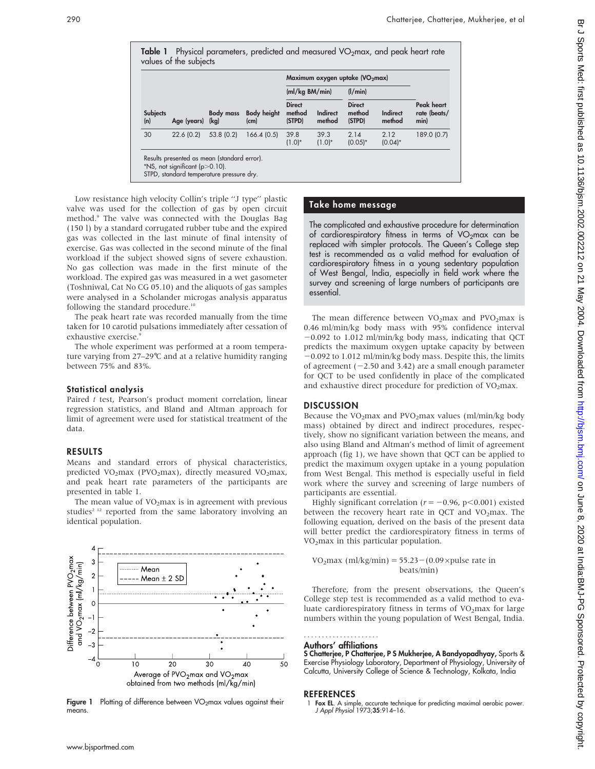| <b>Subjects</b><br>(n) | Age (years) (kg) | <b>Body mass</b> | <b>Body height</b><br>(c <sub>m</sub> ) | Maximum oxygen uptake (VO <sub>2</sub> max) |                    |                                   |                           |                                    |
|------------------------|------------------|------------------|-----------------------------------------|---------------------------------------------|--------------------|-----------------------------------|---------------------------|------------------------------------|
|                        |                  |                  |                                         | (mI/kg BM/min)                              |                    | (1/min)                           |                           |                                    |
|                        |                  |                  |                                         | <b>Direct</b><br>method<br>(STPD)           | Indirect<br>method | <b>Direct</b><br>method<br>(STPD) | <b>Indirect</b><br>method | Peak heart<br>rate (beats/<br>min) |
| 30                     | 22.6(0.2)        | 53.8 (0.2)       | 166.4(0.5)                              | 39.8<br>$(1.0)*$                            | 39.3<br>$(1.0)*$   | 2.14<br>$(0.05)^*$                | 2.12<br>$(0.04)^*$        | 189.0 (0.7)                        |

Low resistance high velocity Collin's triple ''J type'' plastic valve was used for the collection of gas by open circuit method.9 The valve was connected with the Douglas Bag (150 l) by a standard corrugated rubber tube and the expired gas was collected in the last minute of final intensity of exercise. Gas was collected in the second minute of the final workload if the subject showed signs of severe exhaustion. No gas collection was made in the first minute of the workload. The expired gas was measured in a wet gasometer (Toshniwal, Cat No CG 05.10) and the aliquots of gas samples were analysed in a Scholander microgas analysis apparatus following the standard procedure.<sup>10</sup>

The peak heart rate was recorded manually from the time taken for 10 carotid pulsations immediately after cessation of exhaustive exercise.9

The whole experiment was performed at a room temperature varying from  $27-29$ °C and at a relative humidity ranging between 75% and 83%.

# Statistical analysis

Paired t test, Pearson's product moment correlation, linear regression statistics, and Bland and Altman approach for limit of agreement were used for statistical treatment of the data.

## RESULTS

Means and standard errors of physical characteristics, predicted VO<sub>2</sub>max (PVO<sub>2</sub>max), directly measured VO<sub>2</sub>max, and peak heart rate parameters of the participants are presented in table 1.

The mean value of  $VO<sub>2</sub>max$  is in agreement with previous studies<sup>2 12</sup> reported from the same laboratory involving an identical population.



Figure 1 Plotting of difference between VO<sub>2</sub>max values against their means.

# Take home message

The complicated and exhaustive procedure for determination of cardiorespiratory fitness in terms of VO<sub>2</sub>max can be replaced with simpler protocols. The Queen's College step test is recommended as a valid method for evaluation of cardiorespiratory fitness in a young sedentary population of West Bengal, India, especially in field work where the survey and screening of large numbers of participants are essential.

The mean difference between  $VO<sub>2</sub>max$  and  $PVO<sub>2</sub>max$  is 0.46 ml/min/kg body mass with 95% confidence interval  $-0.092$  to 1.012 ml/min/kg body mass, indicating that QCT predicts the maximum oxygen uptake capacity by between -0.092 to 1.012 ml/min/kg body mass. Despite this, the limits of agreement  $(-2.50$  and 3.42) are a small enough parameter for QCT to be used confidently in place of the complicated and exhaustive direct procedure for prediction of  $VO<sub>2</sub>$ max.

# **DISCUSSION**

Because the VO<sub>2</sub>max and PVO<sub>2</sub>max values (ml/min/kg body mass) obtained by direct and indirect procedures, respectively, show no significant variation between the means, and also using Bland and Altman's method of limit of agreement approach (fig 1), we have shown that QCT can be applied to predict the maximum oxygen uptake in a young population from West Bengal. This method is especially useful in field work where the survey and screening of large numbers of participants are essential.

Highly significant correlation ( $r = -0.96$ , p<0.001) existed between the recovery heart rate in QCT and  $VO<sub>2</sub>$ max. The following equation, derived on the basis of the present data will better predict the cardiorespiratory fitness in terms of VO<sub>2</sub>max in this particular population.

VO<sub>2</sub>max (ml/kg/min) =  $55.23-(0.09 \times \text{pulse rate in})$ beats/min)

Therefore, from the present observations, the Queen's College step test is recommended as a valid method to evaluate cardiorespiratory fitness in terms of  $VO<sub>2</sub>$  max for large numbers within the young population of West Bengal, India.

#### Authors' affiliations .....................

S Chatterjee, P Chatterjee, P S Mukherjee, A Bandyopadhyay, Sports & Exercise Physiology Laboratory, Department of Physiology, University of Calcutta, University College of Science & Technology, Kolkata, India

# **REFERENCES**

<sup>1</sup> Fox EL. A simple, accurate technique for predicting maximal aerobic power. J Appl Physiol 1973;35:914–16.